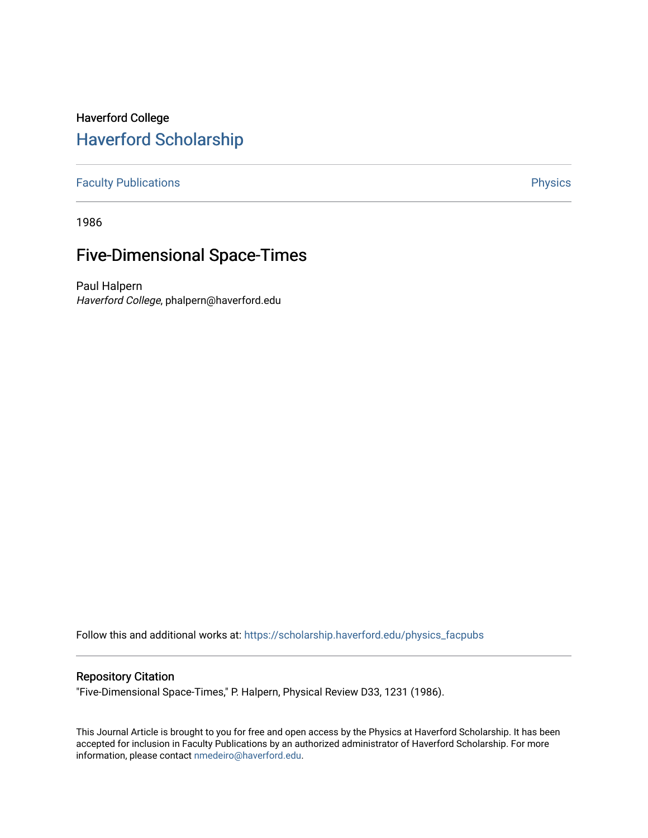# Haverford College [Haverford Scholarship](https://scholarship.haverford.edu/)

[Faculty Publications](https://scholarship.haverford.edu/physics_facpubs) **Physics** 

1986

# Five-Dimensional Space-Times

Paul Halpern Haverford College, phalpern@haverford.edu

Follow this and additional works at: [https://scholarship.haverford.edu/physics\\_facpubs](https://scholarship.haverford.edu/physics_facpubs?utm_source=scholarship.haverford.edu%2Fphysics_facpubs%2F519&utm_medium=PDF&utm_campaign=PDFCoverPages) 

# Repository Citation

"Five-Dimensional Space-Times," P. Halpern, Physical Review D33, 1231 (1986).

This Journal Article is brought to you for free and open access by the Physics at Haverford Scholarship. It has been accepted for inclusion in Faculty Publications by an authorized administrator of Haverford Scholarship. For more information, please contact [nmedeiro@haverford.edu.](mailto:nmedeiro@haverford.edu)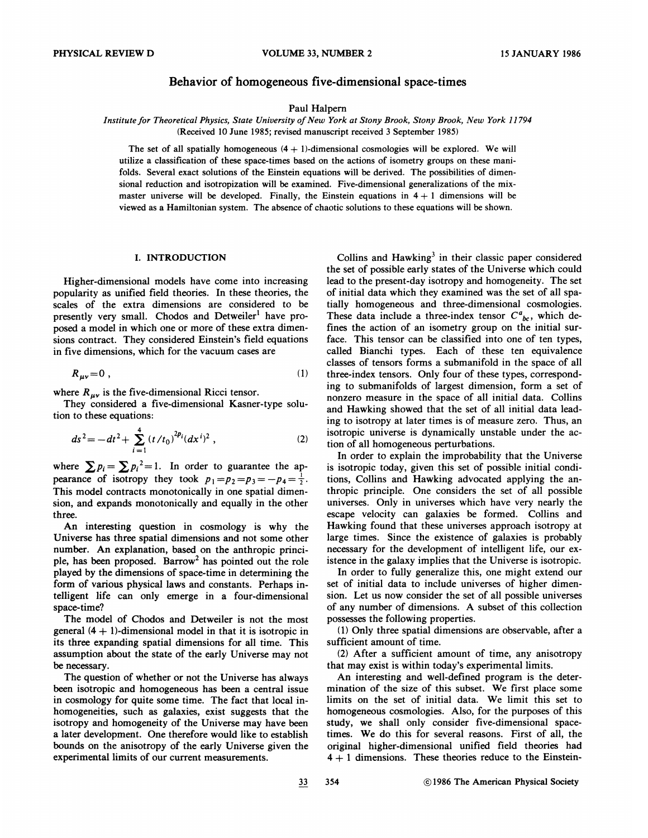# Behavior of homogeneous five-dimensional space-times

Paul Halpern

Institute for Theoretical Physics, State University of New York at Stony Brook, Stony Brook, New York 11794 {Rcceivcd 10 June 1985; revised manuscript received 3 September 1985)

The set of all spatially homogeneous  $(4 + 1)$ -dimensional cosmologies will be explored. We will utilize a classification of these space-times based on the actions of isometry groups on these manifolds. Several exact solutions of the Einstein equations will be derived. The possibilities of dimensional reduction and isotropization will be examined. Five-dimensional generalizations of the mixmaster universe will be developed. Finally, the Einstein equations in  $4+1$  dimensions will be viewed as a Hamiltonian system. The absence of chaotic solutions to these equations will be shown.

## I. INTRODUCTION

Higher-dimensional models have come into increasing popularity as unified field theories. In these theories, the scales of the extra dimensions are considered to be presently very small. Chodos and Detweiler' have proposed a model in which one or more of these extra dimensions contract. They considered Einstein's field equations in five dimensions, which for the vacuum cases are

$$
R_{\mu\nu} = 0 \tag{1}
$$

where  $R_{\mu\nu}$  is the five-dimensional Ricci tensor.

They considered a five-dimensional Kasner-type solution to these equations:

$$
ds^{2} = -dt^{2} + \sum_{i=1}^{4} (t/t_{0})^{2p_{i}} (dx^{i})^{2} , \qquad (2)
$$

where  $\sum p_i = \sum p_i^2 = 1$ . In order to guarantee the apwhere  $\sum p_i = \sum p_i = 1$ . In order to guarantee the appearance of isotropy they took  $p_1 = p_2 = p_3 = -p_4 = \frac{1}{2}$ . This model contracts monotonically in one spatial dimension, and expands monotonically and equally in the other three.

An interesting question in cosmology is why the Universe has three spatial dimensions and not some other number. An explanation, based on the anthropic principle, has been proposed. Barrow2 has pointed out the role played by the dimensions of space-time in determining the form of various physical laws and constants. Perhaps intelligent life can only emerge in a four-dimensional space-time?

The model of Chodos and Detweiler is not the most general  $(4 + 1)$ -dimensional model in that it is isotropic in its three expanding spatial dimensions for all time. This assumption about the state of the early Universe may not be necessary.

The question of whether or not the Universe has always been isotropic and homogeneous has been a central issue in cosmology for quite some time. The fact that local inhomogeneities, such as galaxies, exist suggests that the isotropy and homogeneity of the Universe may have been a later development. One therefore would like to establish bounds on the anisotropy of the early Universe given the experimental limits of our current measurements.

Collins and  $Hawking<sup>3</sup>$  in their classic paper considered the set of possible early states of the Universe which could lead to the present-day isotropy and homogeneity. The set of initial data which they examined was the set of all spatially homogeneous and three-dimensional cosmologies. These data include a three-index tensor  $C^a{}_{bc}$ , which defines the action of an isometry group on the initial surface. This tensor can be classified into one of ten types, called Bianchi types. Each of these ten equivalence classes of tensors forms a submanifold in the space of all three-index tensors. Only four of these types, corresponding to submanifolds of largest dimension, form a set of nonzero measure in the space of all initial data. Collins and Hawking showed that the set of all initial data leading to isotropy at later times is of measure zero. Thus, an isotropic universe is dynamically unstable under the action of all homogeneous perturbations.

In order to explain the improbability that the Universe is isotropic today, given this set of possible initial conditions, Collins and Hawking advocated applying the anthropic principle. One considers the set of all possible universes. Only in universes which have very nearly ihe escape velocity can galaxies be formed. Collins and Hawking found that these universes approach isotropy at large times. Since the existence of galaxies is probably necessary for the development of intelligent life, our existence in the galaxy implies that the Universe is isotropic.

In order to fully generalize this, one might extend our set of initial data to include universes of higher dimension. Let us now consider the set of all possible universes of any number of dimensions. A subset of this collection possesses the following properties.

(1) Only three spatial dimensions are observable, after a sufficient amount of time.

(2) After a sufficient amount of time, any anisotropy that may exist is within today's experimental limits.

An interesting and well-defined program is the determination of the size of this subset. We first place some limits on the set of initial data. We limit this set to homogeneous cosmologies. Also, for the purposes of this study, we shall only consider five-dimensional spacetimes. We do this for several reasons. First of all, the original higher-dimensional unified field theories had  $4+1$  dimensions. These theories reduce to the Einstein-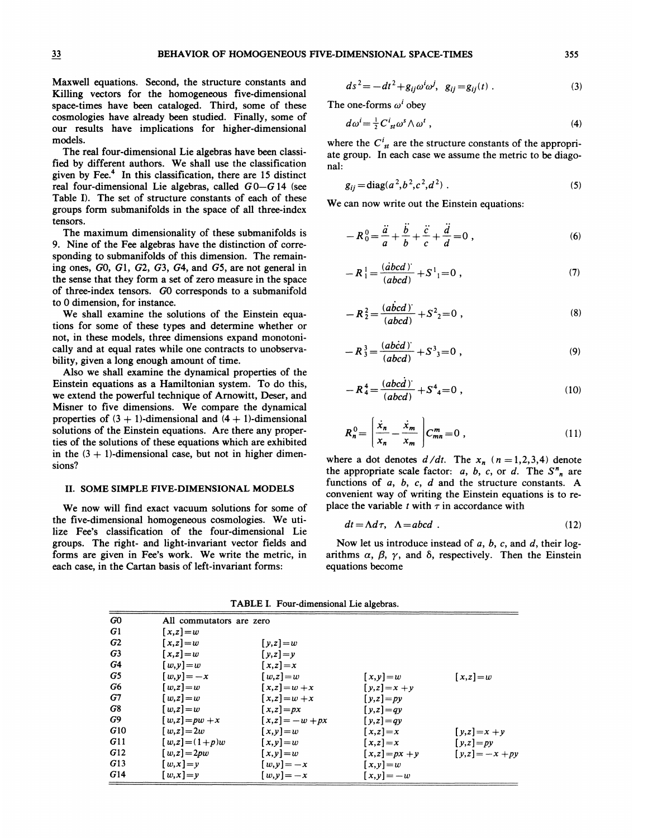Maxwell equations. Second, the structure constants and Killing vectors for the homogeneous five-dimensional space-times have been cataloged. Third, some of these cosrnologies have already been studied. Finally, some of our results have implications for higher-dimensional models.

The real four-dimensional Lie algebras have been classified by different authors. We shall use the classification given by Fee.<sup>4</sup> In this classification, there are 15 distinct real four-dimensional Lie algebras, called  $G0-G14$  (see Table I). The set of structure constants of each of these groups form submanifolds in the space of all three-index tensors.

The maximum dimensionality of these submanifolds is 9. Nine of the Fee algebras have the distinction of corresponding to submanifolds of this dimension. The remaining ones, GO, 61, G2, 63, 64, and 65, are not general in the sense that they form a set of zero measure in the space of three-index tensors. GO corresponds to a submanifold to 0 dimension, for instance.

We shall examine the solutions of the Einstein equations for some of these types and determine whether or not, in these models, three dimensions expand monotonically and at equal rates while one contracts to unobservability, given a long enough amount of time.

Also we shall examine the dynamical properties of the Einstein equations as a Hamiltonian system. To do this, we extend the powerful technique of Arnowitt, Deser, and Misner to five dimensions. We compare the dynamical properties of  $(3 + 1)$ -dimensional and  $(4 + 1)$ -dimensional solutions of the Einstein equations. Are there any properties of the solutions of these equations which are exhibited in the  $(3 + 1)$ -dimensional case, but not in higher dimensions'

#### II. SOME SIMPLE FIVE-DIMENSIONAL MODELS

We now will find exact vacuum solutions for some of the five-dimensional homogeneous cosmologies. We utilize Fee's classification of the four-dimensional Lie groups. The right- and light-invariant vector fields and forms are given in Fee's work. We write the metric, in each case, in the Cartan basis of left-invariant forms:

$$
ds2 = -dt2 + gij\omegai\omegaj, gij = gij(t).
$$
 (3)

The one-forms  $\omega^i$  obey

$$
d\omega^i = \frac{1}{2} C^i_{st} \omega^s \wedge \omega^t \,, \tag{4}
$$

where the  $C_{st}^{i}$  are the structure constants of the appropriate group. In each case we assume the metric to be diagonal:

$$
g_{ij} = \text{diag}(a^2, b^2, c^2, d^2) \tag{5}
$$

We can now write out the Einstein equations:

$$
-R_0^0 = \frac{\ddot{a}}{a} + \frac{\ddot{b}}{b} + \frac{\ddot{c}}{c} + \frac{\dddot{d}}{d} = 0,
$$
 (6)

$$
-R_1^1 = \frac{(abcd)^2}{(abcd)} + S^1{}_{1} = 0 \tag{7}
$$

$$
-R_2^2 = \frac{(abcd)^2}{(abcd)} + S^2{}_2 = 0 ,
$$
 (8)

$$
-R_3^3 = \frac{(abcd)}{(abcd)} + S^3{}_{3} = 0 \tag{9}
$$

$$
-R_4^4 = \frac{(abcd)}{(abcd)} + S_4^4 = 0 , \qquad (10)
$$

$$
R_n^0 = \left(\frac{\dot{x}_n}{x_n} - \frac{\dot{x}_m}{x_m}\right) C_{mn}^m = 0 \tag{11}
$$

where a dot denotes  $d/dt$ . The  $x_n$  (n = 1,2,3,4) denote the appropriate scale factor:  $a, b, c,$  or  $d$ . The  $S<sup>n</sup>_{n}$  are functions of  $a$ ,  $b$ ,  $c$ ,  $d$  and the structure constants. A convenient way of writing the Einstein equations is to replace the variable t with  $\tau$  in accordance with

$$
dt = \Lambda d\tau, \quad \Lambda = abcd \tag{12}
$$

Now let us introduce instead of  $a$ ,  $b$ ,  $c$ , and  $d$ , their logarithms  $\alpha$ ,  $\beta$ ,  $\gamma$ , and  $\delta$ , respectively. Then the Einstein equations become

TABLE I. Four-dimensional Lie algebras.

| G <sub>0</sub> | All commutators are zero |                   |                               |                              |
|----------------|--------------------------|-------------------|-------------------------------|------------------------------|
| G <sub>1</sub> | $[x,z]=w$                |                   |                               |                              |
| G2             | $[x,z]=w$                | $[y,z] = w$       |                               |                              |
| G <sub>3</sub> | $[x,z]=w$                | $[y,z]=y$         |                               |                              |
| G4             | $[w, y] = w$             | $[x,z]=x$         |                               |                              |
| G5             | $[w, v] = -x$            | $[w,z]=w$         | $[x, y] = w$                  | $[x,z]=w$                    |
| G6             | $[w,z] = w$              | $[x,z]=w+x$       | $[y,z]=x+y$                   |                              |
| G7             | $[w,z] = w$              | $[x,z]=w+x$       | $[y,z]=py$                    |                              |
| G8             | $[w,z] = w$              | $[x,z]=px$        | $[y,z]=qy$                    |                              |
| G9             | $[w,z]=pw+x$             | $[x,z] = -w + px$ | $[y,z]=qy$                    |                              |
| G10            | $[w,z]=2w$               | $[x,y]=w$         | $[x,z]=x$                     | $\lceil y, z \rceil = x + y$ |
| G11            | $[w,z] = (1+p)w$         | $[x,y]=w$         | $[x,z]=x$                     | $[y,z]=py$                   |
| G12            | $[w,z]=2pw$              | $[x,y]=w$         | $\lceil x, z \rceil = px + y$ | $[y,z] = -x + py$            |
| G13            | $[w, x] = y$             | $[w, y] = -x$     | $[x, y] = w$                  |                              |
| G14            | $[w, x] = y$             | $[w, y] = -x$     | $[x, y] = -w$                 |                              |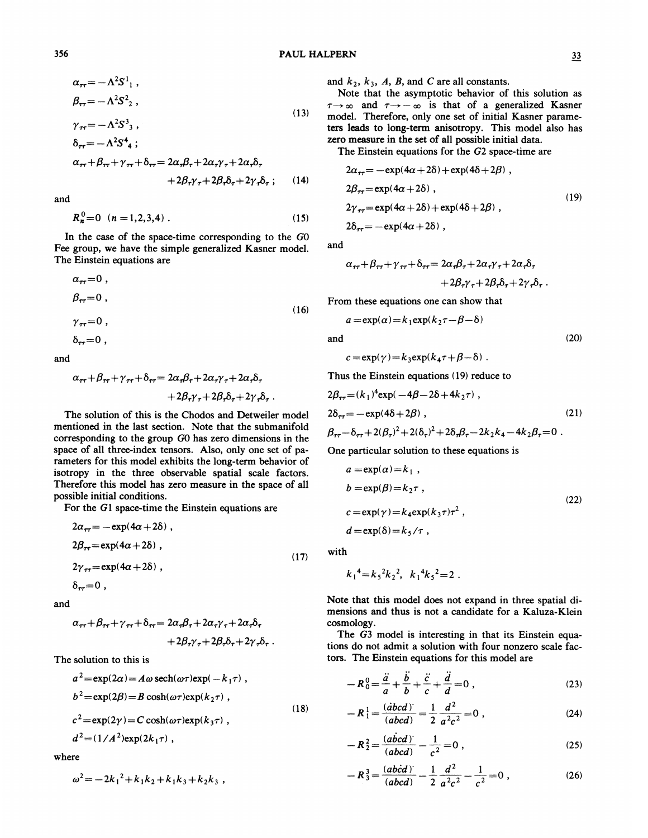$$
\alpha_{\tau\tau} = -\Lambda^2 S^1_{1} ,
$$
  
\n
$$
\beta_{\tau\tau} = -\Lambda^2 S^2_{2} ,
$$
\n(13)

$$
\gamma_{\tau\tau} = -\Lambda^2 S^3,
$$
  
\n
$$
\delta_{\tau\tau} = -\Lambda^2 S^4,
$$

$$
\alpha_{\tau\tau} + \beta_{\tau\tau} + \gamma_{\tau\tau} + \delta_{\tau\tau} = 2\alpha_{\tau}\beta_{\tau} + 2\alpha_{\tau}\gamma_{\tau} + 2\alpha_{\tau}\delta_{\tau}
$$
  
+ 2\beta\_{\tau}\gamma\_{\tau} + 2\beta\_{\tau}\delta\_{\tau} + 2\gamma\_{\tau}\delta\_{\tau}; (14)  

$$
2\beta_{\tau} = -\exp(4\alpha + 2\delta) + \exp(4\delta + 2\beta),
$$
  

$$
2\beta_{\tau} = -\exp(4\alpha + 2\delta) + \exp(4\delta + 2\beta),
$$

and

$$
R_n^0 = 0 \quad (n = 1, 2, 3, 4) \tag{15}
$$

In the case of the space-time corresponding to the GO Fee group, we have the simple generalized Kasner model. The Einstein equations are

$$
\alpha_{\tau\tau} = 0 ,
$$
  
\n
$$
\beta_{\tau\tau} = 0 ,
$$
  
\n
$$
\gamma_{\tau\tau} = 0 ,
$$
  
\n
$$
\delta_{\tau\tau} = 0 ,
$$
  
\n(16)

and

$$
\alpha_{\tau\tau} + \beta_{\tau\tau} + \gamma_{\tau\tau} + \delta_{\tau\tau} = 2\alpha_{\tau}\beta_{\tau} + 2\alpha_{\tau}\gamma_{\tau} + 2\alpha_{\tau}\delta_{\tau} + 2\beta_{\tau}\gamma_{\tau} + 2\beta_{\tau}\delta_{\tau} + 2\gamma_{\tau}\delta_{\tau} .
$$

The solution of this is the Chodos and Detweiler model mentioned in the last section. Note that the submanifold corresponding to the group GO has zero dimensions in the space of all three-index tensors. Also, only one set of parameters for this model exhibits the long-term behavior of isotropy in the three observable spatial scale factors. Therefore this model has zero measure in the space of all possible initial conditions.

For the Gl space-time the Einstein equations are

$$
2\alpha_{\tau\tau} = -\exp(4\alpha + 2\delta) ,
$$
  
\n
$$
2\beta_{\tau\tau} = \exp(4\alpha + 2\delta) ,
$$
  
\n
$$
2\gamma_{\tau\tau} = \exp(4\alpha + 2\delta) ,
$$
  
\n
$$
\delta_{\tau\tau} = 0 ,
$$
 (17)

and

$$
\alpha_{\tau\tau} + \beta_{\tau\tau} + \gamma_{\tau\tau} + \delta_{\tau\tau} = 2\alpha_{\tau}\beta_{\tau} + 2\alpha_{\tau}\gamma_{\tau} + 2\alpha_{\tau}\delta_{\tau} + 2\beta_{\tau}\gamma_{\tau} + 2\beta_{\tau}\delta_{\tau} + 2\gamma_{\tau}\delta_{\tau} .
$$

The solution to this is

$$
a^{2} = \exp(2\alpha) = A\omega \operatorname{sech}(\omega\tau) \exp(-k_{1}\tau) ,
$$
  
\n
$$
b^{2} = \exp(2\beta) = B \cosh(\omega\tau) \exp(k_{2}\tau) ,
$$
  
\n
$$
c^{2} = \exp(2\gamma) = C \cosh(\omega\tau) \exp(k_{3}\tau) ,
$$
  
\n
$$
d^{2} = (1/A^{2}) \exp(2k_{1}\tau) ,
$$
\n(18)

where

$$
\omega^2 = -2k_1^2 + k_1k_2 + k_1k_3 + k_2k_3,
$$

and  $k_2$ ,  $k_3$ , A, B, and C are all constants.

Note that the asymptotic behavior of this solution as  $\tau \rightarrow \infty$  and  $\tau \rightarrow -\infty$  is that of a generalized Kasner model. Therefore, only one set of initial Kasner parameters leads to long-term anisotropy. This model also has zero measure in the set of all possible initial data.

The Einstein equations for the 62 space-time are

$$
2\alpha_{\tau\tau} = -\exp(4\alpha + 2\delta) + \exp(4\delta + 2\beta) ,
$$
  
\n
$$
2\beta_{\tau\tau} = \exp(4\alpha + 2\delta) ,
$$
  
\n
$$
2\gamma_{\tau\tau} = \exp(4\alpha + 2\delta) + \exp(4\delta + 2\beta) ,
$$
  
\n
$$
2\delta_{\tau\tau} = -\exp(4\alpha + 2\delta) ,
$$
 (19)

and

$$
\alpha_{\tau\tau} + \beta_{\tau\tau} + \gamma_{\tau\tau} + \delta_{\tau\tau} = 2\alpha_{\tau}\beta_{\tau} + 2\alpha_{\tau}\gamma_{\tau} + 2\alpha_{\tau}\delta_{\tau} + 2\beta_{\tau}\gamma_{\tau} + 2\beta_{\tau}\delta_{\tau} + 2\gamma_{\tau}\delta_{\tau}.
$$

From these equations one can show that

$$
a = \exp(\alpha) = k_1 \exp(k_2 \tau - \beta - \delta)
$$

and

$$
c = \exp(\gamma) = k_3 \exp(k_4 \tau + \beta - \delta) \; .
$$

Thus the Einstein equations (19) reduce to

$$
2\beta_{\tau\tau} = (k_1)^4 \exp(-4\beta - 2\delta + 4k_2\tau) ,
$$
  
\n
$$
2\delta_{\tau\tau} = -\exp(4\delta + 2\beta) ,
$$
  
\n
$$
\beta_{\tau\tau} - \delta_{\tau\tau} + 2(\beta_{\tau})^2 + 2(\delta_{\tau})^2 + 2\delta_{\tau}\beta_{\tau} - 2k_2k_4 - 4k_2\beta_{\tau} = 0 .
$$
\n(21)

One particular solution to these equations is

$$
a = \exp(\alpha) = k_1 ,
$$
  
\n
$$
b = \exp(\beta) = k_2 \tau ,
$$
  
\n
$$
c = \exp(\gamma) = k_4 \exp(k_3 \tau) \tau^2 ,
$$
  
\n
$$
d = \exp(\delta) = k_5 / \tau ,
$$
\n(22)

with

$$
k_1^4 = k_5^2 k_2^2
$$
,  $k_1^4 k_5^2 = 2$ .

Note that this model does not expand in three spatial dimensions and thus is not a candidate for a Kaluza-Klein cosmology.

The 63 model is interesting in that its Einstein equations do not admit a solution with four nonzero scale factors. The Einstein equations for this model are

$$
-R_0^0 = \frac{\ddot{a}}{a} + \frac{\ddot{b}}{b} + \frac{\ddot{c}}{c} + \frac{\dddot{d}}{d} = 0,
$$
\n(23)\n
$$
-R_1^1 = \frac{(\dot{a}bcd)^2}{(d^2 + 1)^2} = \frac{1}{2} \frac{d^2}{d^2} = 0,
$$
\n(24)

$$
-R_1^1 = \frac{(\dot{abcd})^2}{(abcd)} = \frac{1}{2} \frac{d^2}{a^2 c^2} = 0,
$$
 (24)

$$
-R_2^2 = \frac{(abcd)}{(abcd)} - \frac{1}{c^2} = 0,
$$
 (25)

$$
-R_3^3 = \frac{(abcd)}{(abcd)} - \frac{1}{2} \frac{d^2}{a^2c^2} - \frac{1}{c^2} = 0 ,
$$
 (26)

(2O)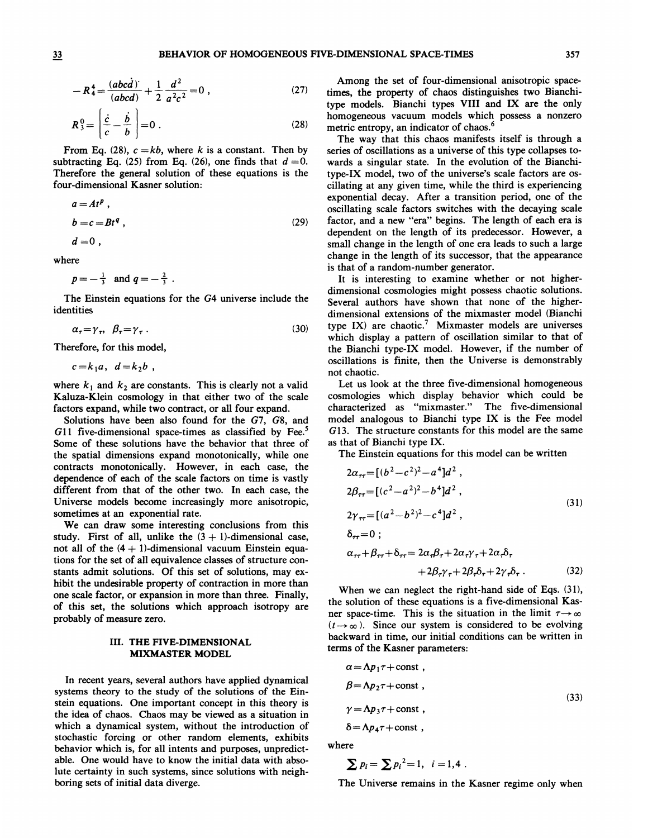$$
R_4^4 = \frac{(abcd)}{(abcd)} + \frac{1}{2} \frac{d^2}{a^2 c^2} = 0 ,
$$
 (27)  $\frac{A}{\text{tim}}$ 

$$
R_3^0 = \left[\frac{\dot{c}}{c} - \frac{\dot{b}}{b}\right] = 0.
$$
 (28)

From Eq. (28),  $c = kb$ , where k is a constant. Then by subtracting Eq. (25) from Eq. (26), one finds that  $d = 0$ . Therefore the general solution of these equations is the four-dimensional Kasner solution:

$$
a = Atp,b = c = Btq,
$$
 (29)

 $d=0$ , where

$$
p=-\frac{1}{3}
$$
 and  $q=-\frac{2}{3}$ .

The Einstein equations for the 64 universe include the identities

$$
\alpha_{\tau} = \gamma_{\tau}, \quad \beta_{\tau} = \gamma_{\tau} \tag{30}
$$

Therefore, for this model,

$$
c = k_1 a, \ d = k_2 b
$$

where  $k_1$  and  $k_2$  are constants. This is clearly not a valid Kaluza-Klein cosmology in that either two of the scale factors expand, while two contract, or all four expand.

Solutions have been also found for the 67, 68, and  $G11$  five-dimensional space-times as classified by Fee.<sup>5</sup> Some of these solutions have the behavior that three of the spatial dimensions expand monotonically, while one contracts monotonically. However, in each case, the dependence of each of the scale factors on time is vastly different from that of the other two. In each case, the Universe models become increasingly more anisotropic, sometimes at an exponential rate.

We can draw some interesting conclusions from this study. First of all, unlike the  $(3 + 1)$ -dimensional case, not all of the  $(4 + 1)$ -dimensional vacuum Einstein equations for the set of all equivalence classes of structure constants admit solutions. Of this set of solutions, may exhibit the undesirable property of contraction in more than one scale factor, or expansion in more than three. Finally, of this set, the solutions which approach isotropy are probably of measure zero.

#### III. THE FIVE-DIMENSIONAL MIXMASTER MODEL

In recent years, several authors have applied dynamical systems theory to the study of the solutions of the Einstein equations. One important concept in this theory is the idea of chaos. Chaos may be viewed as a situation in which a dynamical system, without the introduction of stochastic forcing or other random elements, exhibits behavior which is, for all intents and purposes, unpredictable. One would have to know the initial data with absolute certainty in such systems, since solutions with neighboring sets of initial data diverge.

Among the set of four-dimensional anisotropic spacetimes, the property of chaos distinguishes two Bianchitype models. Bianchi types VIII and IX are the only homogeneous vacuum models which possess a nonzero metric entropy, an indicator of chaos.

The way that this chaos manifests itself is through a series of oscillations as a universe of this type collapses towards a singular state. In the evolution of the Bianchitype-IX model, two of the universe's scale factors are oscillating at any given time, while the third is experiencing exponential decay. After a transition period, one of the oscillating scale factors switches with the decaying scale factor, and a new "era" begins. The length of each era is dependent on the length of its predecessor. However, a small change in the length of one era leads to such a large change in the length of its successor, that the appearance is that of a random-number generator.

It is interesting to examine whether or not higherdimensional cosmologies might possess chaotic solutions. Several authors have shown that none of the higherdimensional extensions of the mixmaster model (Bianchi type IX) are chaotic.<sup>7</sup> Mixmaster models are universes which display a pattern of oscillation similar to that of the Bianchi type-IX model. However, if the number of oscillations is finite, then the Universe is demonstrably not chaotic.

Let us look at the three five-dimensional homogeneous cosmologies which display behavior which could be characterized as "mixmaster." The five-dimensional model analogous to Bianchi type IX is the Fee model G13. The structure constants for this model are the same as that of Bianchi type IX.

The Einstein equations for this model can be written

$$
2\alpha_{\tau\tau} = [(b^2 - c^2)^2 - a^4]d^2,
$$
  
\n
$$
2\beta_{\tau\tau} = [(c^2 - a^2)^2 - b^4]d^2,
$$
  
\n
$$
2\gamma_{\tau\tau} = [(a^2 - b^2)^2 - c^4]d^2,
$$
  
\n
$$
\delta_{\tau\tau} = 0;
$$
  
\n
$$
\alpha_{\tau\tau} + \beta_{\tau\tau} + \delta_{\tau\tau} = 2\alpha_{\tau}\beta_{\tau} + 2\alpha_{\tau}\gamma_{\tau} + 2\alpha_{\tau}\delta_{\tau}
$$
  
\n
$$
+ 2\beta_{\tau}\gamma_{\tau} + 2\beta_{\tau}\delta_{\tau} + 2\gamma_{\tau}\delta_{\tau}.
$$
\n(32)

When we can neglect the right-hand side of Eqs. (31), the solution of these equations is a five-dimensional Kasner space-time. This is the situation in the limit  $\tau \rightarrow \infty$  $(t \rightarrow \infty)$ . Since our system is considered to be evolving backward in time, our initial conditions can be written in terms of the Kasner parameters:

$$
\alpha = \Lambda p_1 \tau + \text{const} ,
$$
  
\n
$$
\beta = \Lambda p_2 \tau + \text{const} ,
$$
  
\n
$$
\gamma = \Lambda p_3 \tau + \text{const} ,
$$
  
\n
$$
\delta = \Lambda p_4 \tau + \text{const} ,
$$
  
\n(33)

where

$$
\sum p_i = \sum p_i^2 = 1, \ \ i = 1, 4 \ .
$$

The Universe remains in the Kasner regime only when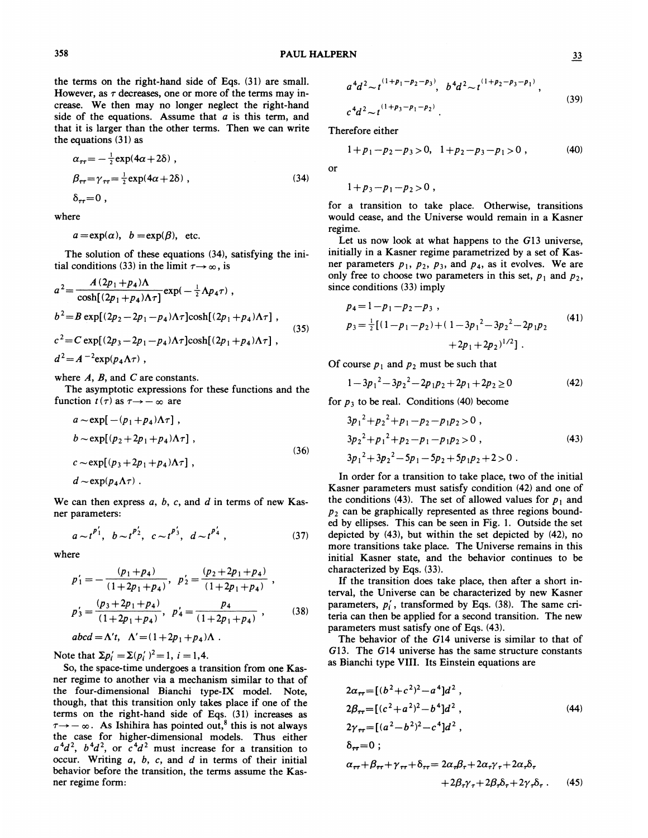the terms on the right-hand side of Eqs. (31) are small. However, as  $\tau$  decreases, one or more of the terms may increase. We then may no longer neglect the right-hand side of the equations. Assume that  $a$  is this term, and that it is larger than the other terms. Then we can write the equations (31) as

$$
\alpha_{\tau\tau} = -\frac{1}{2} \exp(4\alpha + 2\delta) ,
$$
  
\n
$$
\beta_{\tau\tau} = \gamma_{\tau\tau} = \frac{1}{2} \exp(4\alpha + 2\delta) ,
$$
  
\n
$$
\delta_{\tau\tau} = 0 ,
$$
 (34)

where

358

$$
a = \exp(\alpha)
$$
,  $b = \exp(\beta)$ , etc.

The solution of these equations (34), satisfying the initial conditions (33) in the limit  $\tau \rightarrow \infty$ , is

$$
a^{2} = \frac{A(2p_{1} + p_{4})\Lambda}{\cosh[(2p_{1} + p_{4})\Lambda\tau]} \exp(-\frac{1}{2}\Lambda p_{4}\tau) ,
$$
  
\n
$$
b^{2} = B \exp[(2p_{2} - 2p_{1} - p_{4})\Lambda\tau] \cosh[(2p_{1} + p_{4})\Lambda\tau] ,
$$
  
\n
$$
c^{2} = C \exp[(2p_{3} - 2p_{1} - p_{4})\Lambda\tau] \cosh[(2p_{1} + p_{4})\Lambda\tau] ,
$$
  
\n
$$
d^{2} = A^{-2} \exp(p_{4}\Lambda\tau) ,
$$
  
\n(35)

where  $A$ ,  $B$ , and  $C$  are constants.

The asymptotic expressions for these functions and the The asymptotic expression<br>function  $t(\tau)$  as  $\tau \rightarrow -\infty$  are

$$
a \sim \exp[-(p_1 + p_4)\Lambda\tau],
$$
  
\n
$$
b \sim \exp[(p_2 + 2p_1 + p_4)\Lambda\tau],
$$
  
\n
$$
c \sim \exp[(p_3 + 2p_1 + p_4)\Lambda\tau],
$$
  
\n
$$
d \sim \exp(p_4\Lambda\tau).
$$
\n(36)

We can then express  $a, b, c$ , and  $d$  in terms of new Kasner parameters:

$$
a \sim t^{p'_1}
$$
,  $b \sim t^{p'_2}$ ,  $c \sim t^{p'_3}$ ,  $d \sim t^{p'_4}$ , (37)

where

$$
p'_{1} = -\frac{(p_{1} + p_{4})}{(1 + 2p_{1} + p_{4})}, \quad p'_{2} = \frac{(p_{2} + 2p_{1} + p_{4})}{(1 + 2p_{1} + p_{4})},
$$
  

$$
p'_{3} = \frac{(p_{3} + 2p_{1} + p_{4})}{(1 + 2p_{1} + p_{4})}, \quad p'_{4} = \frac{p_{4}}{(1 + 2p_{1} + p_{4})}, \quad (38)
$$

$$
abcd = \Lambda' t, \ \ \Lambda' = (1 + 2p_1 + p_4)\Lambda \ .
$$

Note that  $\Sigma p_i' = \Sigma (p_i')^2 = 1, i = 1, 4.$ 

So, the space-time undergoes a transition from one Kasner regime to another via a mechanism similar to that of the four-dimensional Bianchi type-IX model. Note, though, that this transition only takes place if one of the terms on the right-hand side of Eqs. (31) increases as  $\tau \rightarrow -\infty$ . As Ishihira has pointed out,<sup>8</sup> this is not always the case for higher-dimensional models. Thus either  $a^4d^2$ ,  $b^4d^2$ , or  $c^4d^2$  must increase for a transition to occur. Writing  $a, b, c,$  and  $d$  in terms of their initial behavior before the transition, the terms assume the Kasner regime form:

$$
a^{4}d^{2} \sim t^{(1+p_{1}-p_{2}-p_{3})}, \quad b^{4}d^{2} \sim t^{(1+p_{2}-p_{3}-p_{1})},
$$
\n
$$
c^{4}d^{2} \sim t^{(1+p_{3}-p_{1}-p_{2})}.
$$
\n(39)

Therefore either

$$
1+p_1-p_2-p_3>0, \ \ 1+p_2-p_3-p_1>0 \ , \ \ \hspace{1cm} (40)
$$

or

$$
1+p_3 - p_1 - p_2 > 0
$$

for a transition to take place. Otherwise, transitions would cease, and the Universe would remain in a Kasner regime.

Let us now look at what happens to the  $G13$  universe, initially in a Kasner regime parametrized by a set of Kasner parameters  $p_1$ ,  $p_2$ ,  $p_3$ , and  $p_4$ , as it evolves. We are only free to choose two parameters in this set,  $p_1$  and  $p_2$ , since conditions (33) imply

$$
p_4 = 1 - p_1 - p_2 - p_3,
$$
  
\n
$$
p_3 = \frac{1}{2} [(1 - p_1 - p_2) + (1 - 3p_1^2 - 3p_2^2 - 2p_1p_2 + 2p_1 + 2p_2)^{1/2}].
$$
\n(41)

Of course  $p_1$  and  $p_2$  must be such that

$$
1 - 3p_1^2 - 3p_2^2 - 2p_1p_2 + 2p_1 + 2p_2 \ge 0
$$
 (42)

for  $p_3$  to be real. Conditions (40) become

$$
3p_1^2 + p_2^2 + p_1 - p_2 - p_1 p_2 > 0,
$$
  
\n
$$
3p_2^2 + p_1^2 + p_2 - p_1 - p_1 p_2 > 0,
$$
  
\n
$$
3p_1^2 + 3p_2^2 - 5p_1 - 5p_2 + 5p_1 p_2 + 2 > 0.
$$
\n(43)

In order for a transition to take place, two of the initial Kasner parameters must satisfy condition (42) and one of the conditions (43). The set of allowed values for  $p_1$  and  $p_2$  can be graphically represented as three regions bounded by ellipses. This can be seen in Fig. l. Outside the set depicted by (43), but within the set depicted by (42), no more transitions take place. The Universe remains in this initial Kasner state, and the behavior continues to be characterized by Eqs. (33).

If the transition does take place, then after a short interval, the Universe can be characterized by new Kasner parameters,  $p'_i$ , transformed by Eqs. (38). The same criteria can then be applied for a second transition. The new parameters must satisfy one of Eqs. (43).

The behavior of the G14 universe is similar to that of 613. The 614 universe has the same structure constants as Bianchi type VIII. Its Einstein equations are

$$
2\alpha_{rr} = [(b^{2} + c^{2})^{2} - a^{4}]d^{2},
$$
  
\n
$$
2\beta_{rr} = [(c^{2} + a^{2})^{2} - b^{4}]d^{2},
$$
  
\n
$$
2\gamma_{rr} = [(a^{2} - b^{2})^{2} - c^{4}]d^{2},
$$
  
\n
$$
\delta_{rr} = 0;
$$
  
\n
$$
\alpha_{rr} + \beta_{rr} + \gamma_{rr} + \delta_{rr} = 2\alpha_{r}\beta_{r} + 2\alpha_{r}\gamma_{r} + 2\alpha_{r}\delta_{r} + 2\beta_{r}\gamma_{r} + 2\beta_{r}\delta_{r} + 2\beta_{r}\gamma_{r} + 2\beta_{r}\delta_{r} + 2\gamma_{r}\delta_{r}. \quad (45)
$$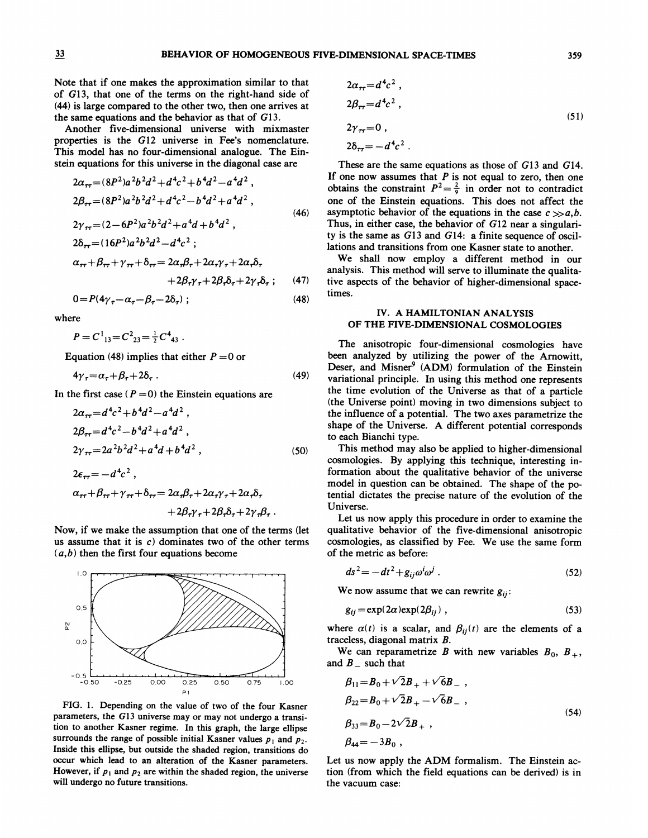#### BEHAVIOR OF HOMOGENEOUS FIVE-DIMENSIONAL SPACE-TIMES

Note that if one makes the approximation similar to that of G13, that one of the terms on the right-hand side of (44) is large compared to the other two, then one arrives at the same equations and the behavior as that of G13.

Another five-dimensional universe with mixmaster properties is the 612 universe in Fee's nomenclature. This model has no four-dimensional analogue. The Einstein equations for this universe in the diagonal case are

$$
2\alpha_{rr} = (8P^2)a^2b^2d^2 + d^4c^2 + b^4d^2 - a^4d^2,
$$
  
\n
$$
2\beta_{rr} = (8P^2)a^2b^2d^2 + d^4c^2 - b^4d^2 + a^4d^2,
$$
  
\n
$$
2\gamma_{rr} = (2 - 6P^2)a^2b^2d^2 + a^4d + b^4d^2,
$$
  
\n
$$
2\delta_{rr} = (16P^2)a^2b^2d^2 - d^4c^2 ;
$$
  
\n
$$
\alpha_{rr} + \beta_{rr} + \gamma_{rr} + \delta_{rr} = 2\alpha_r\beta_r + 2\alpha_r\gamma_r + 2\alpha_r\delta_r
$$
  
\n
$$
+ 2\beta_r\gamma_r + 2\beta_r\delta_r + 2\gamma_r\delta_r ; \qquad (47)
$$
  
\n
$$
0 = P(4\gamma_r - \alpha_r - \beta_r - 2\delta_r) ; \qquad (48)
$$

where

$$
P = C_{13}^{1} = C_{23}^{2} = \frac{1}{2} C_{43}^{4}
$$

Equation (48) implies that either  $P = 0$  or

$$
4\gamma_{\tau} = \alpha_{\tau} + \beta_{\tau} + 2\delta_{\tau} \tag{49}
$$

In the first case  $(P = 0)$  the Einstein equations are

$$
2\alpha_{rr} = d^4c^2 + b^4d^2 - a^4d^2,
$$
  
\n
$$
2\beta_{rr} = d^4c^2 - b^4d^2 + a^4d^2,
$$
  
\n
$$
2\gamma_{rr} = 2a^2b^2d^2 + a^4d + b^4d^2,
$$
  
\n
$$
2\epsilon = -d^4c^2.
$$
\n(50)

$$
\alpha_{\tau\tau} + \beta_{\tau\tau} + \gamma_{\tau\tau} + \delta_{\tau\tau} = 2\alpha_{\tau}\beta_{\tau} + 2\alpha_{\tau}\gamma_{\tau} + 2\alpha_{\tau}\delta_{\tau} + 2\beta_{\tau}\gamma_{\tau} + 2\beta_{\tau}\delta_{\tau} + 2\gamma_{\tau}\beta_{\tau}.
$$

Now, if we make the assumption that one of the terms (let us assume that it is  $c$ ) dominates two of the other terms  $(a,b)$  then the first four equations become



FIG. 1. Depending on the value of two of the four Kasner parameters, the 613 universe may or may not undergo a transition to another Kasner regime. In this graph, the large ellipse surrounds the range of possible initial Kasner values  $p_1$  and  $p_2$ . Inside this eHipse, but outside the shaded region, transitions do occur which lead to an alteration of the Kasner parameters. However, if  $p_1$  and  $p_2$  are within the shaded region, the universe will undergo no future transitions.

$$
2\alpha_{rr} = d^4 c^2,
$$
  
\n
$$
2\beta_{rr} = d^4 c^2,
$$
  
\n
$$
2\gamma_{rr} = 0,
$$
  
\n
$$
2\delta_{rr} = -d^4 c^2.
$$
  
\n(51)

These are the same equations as those of G13 and G14. If one now assumes that  $P$  is not equal to zero, then one obtains the constraint  $P^2 = \frac{2}{9}$  in order not to contradiction one of the Einstein equations. This does not affect the asymptotic behavior of the equations in the case  $c \gg a,b$ . Thus, in either case, the behavior of G12 near a singularity is the same as 613 and 614: a finite sequence of oscillations and transitions from one Kasner state to another.

We shall now employ a different method in our analysis. This method will serve to illuminate the qualitative aspects of the behavior of higher-dimensional spacetimes.

### IV. A HAMILTONIAN ANALYSIS OF THE FIVE-DIMENSIONAL COSMOLOGIES

The anisotropic four-dimensional cosmologies have been analyzed by utilizing the power of the Arnowitt, Deser, and Misner<sup>9</sup> (ADM) formulation of the Einstein variational principle. In using this method one represents the time evolution of the Universe as that of a particle (the Universe point) moving in two dimensions subject to the infiuence of a potential. The two axes parametrize the shape of the Universe. A different potential corresponds to each Bianchi type.

This method may also be applied to higher-dimensional cosmologies. By applying this technique, interesting information about the qualitative behavior of the universe model in question can be obtained. The shape of the potential dictates the precise nature of the evolution of the Universe.

Let us now apply this procedure in order to examine the qualitative behavior of the five-dimensional anisotropic cosmologies, as classified by Fee. We use the same form of the metric as before:

$$
ds^2 = -dt^2 + g_{ij}\omega^i\omega^j\ .
$$
 (52)

We now assume that we can rewrite  $g_{ij}$ :

$$
g_{ij} = \exp(2\alpha) \exp(2\beta_{ij}) , \qquad (53)
$$

where  $\alpha(t)$  is a scalar, and  $\beta_{ij}(t)$  are the elements of a traceless, diagonal matrix  $B$ .

We can reparametrize B with new variables  $B_0$ ,  $B_+$ , and  $B$ <sub>-</sub> such that

$$
\beta_{11} = B_0 + \sqrt{2}B_+ + \sqrt{6}B_- ,
$$
  
\n
$$
\beta_{22} = B_0 + \sqrt{2}B_+ - \sqrt{6}B_- ,
$$
  
\n
$$
\beta_{33} = B_0 - 2\sqrt{2}B_+ ,
$$
  
\n
$$
\beta_{44} = -3B_0 ,
$$
  
\n(54)

Let us now apply the ADM formalism. The Einstein action (from which the field equations can be derived) is in the vacuum case: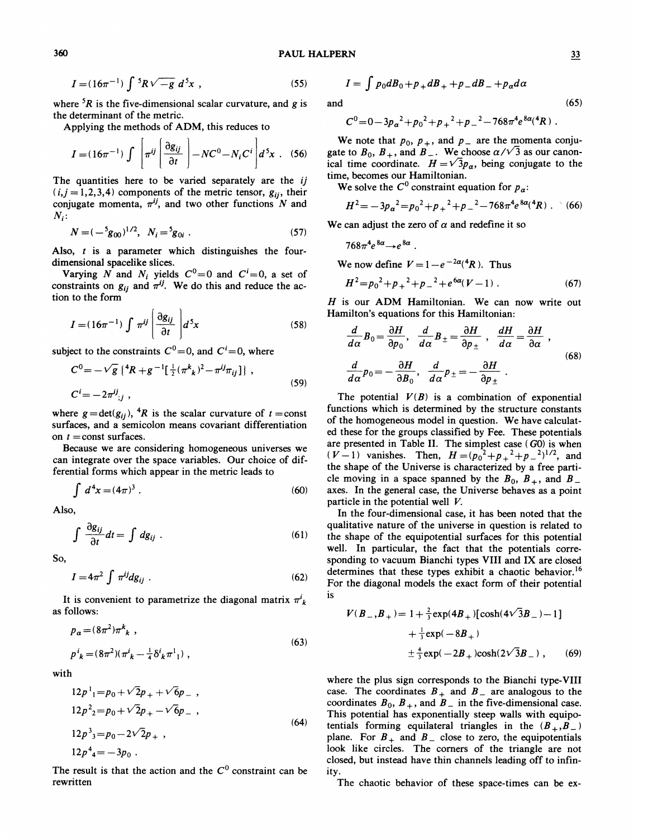$$
I = (16\pi^{-1}) \int {}^{5}R\sqrt{-g} \; d^{5}x \; , \qquad (55)
$$

where  ${}^{5}R$  is the five-dimensional scalar curvature, and g is the determinant of the metric.

Applying the methods of ADM, this reduces to

$$
I = (16\pi^{-1}) \int \left[ \pi^{ij} \left( \frac{\partial g_{ij}}{\partial t} \right) - NC^0 - N_i C^i \right] d^5 x \quad (56)
$$

The quantities here to be varied separately are the ij  $(i, j = 1, 2, 3, 4)$  components of the metric tensor,  $g_{ij}$ , their conjugate momenta,  $\pi^{ij}$ , and two other functions N and  $N_i$ :

$$
N = (-\,5 g_{00})^{1/2}, \quad N_i = 5 g_{0i} \tag{57}
$$

Also,  $t$  is a parameter which distinguishes the fourdimensional spacelike slices.

Varying N and  $N_i$  yields  $C^0=0$  and  $C^i=0$ , a set of constraints on  $g_{ij}$  and  $\pi^{ij}$ . We do this and reduce the action to the form

$$
I = (16\pi^{-1}) \int \pi^{ij} \left[ \frac{\partial g_{ij}}{\partial t} \right] d^5 x \tag{58}
$$

subject to the constraints  $C^0 = 0$ , and  $C^i = 0$ , where

$$
C^{0} = -\sqrt{g} \left\{ {}^{4}R + g^{-1} \left[ \frac{1}{2} (\pi^{k}{}_{k})^{2} - \pi^{ij} \pi_{ij} \right] \right\},
$$
  
\n
$$
C^{i} = -2\pi^{ij}{}_{;j} ,
$$
\n(59)

where  $g = det(g_{ij})$ , <sup>4</sup>R is the scalar curvature of  $t = \text{cons}$ surfaces, and a semicolon means covariant differentiation on  $t =$ const surfaces.

Because we are considering homogeneous universes we can integrate over the space variables. Our choice of dif-

ferential forms which appear in the metric leads to  
\n
$$
\int d^4x = (4\pi)^3.
$$
\n(60)

Also,

$$
\int \frac{\partial g_{ij}}{\partial t} dt = \int dg_{ij} . \qquad (61)
$$

So,

$$
I = 4\pi^2 \int \pi^{ij} dg_{ij} \tag{62}
$$

It is convenient to parametrize the diagonal matrix  $\pi^i_k$ as follows:

$$
p_{\alpha} = (8\pi^2)\pi^k{}_k ,
$$
  
\n
$$
p^i{}_k = (8\pi^2)(\pi^i{}_k - \frac{1}{4}\delta^i{}_k\pi^1{}_1) ,
$$
\n(63)

with

$$
12p^{1} = p_{0} + \sqrt{2}p_{+} + \sqrt{6}p_{-} ,
$$
  
\n
$$
12p^{2} = p_{0} + \sqrt{2}p_{+} - \sqrt{6}p_{-} ,
$$
  
\n
$$
12p^{3} = p_{0} - 2\sqrt{2}p_{+} ,
$$
  
\n
$$
12p^{4} = -3p_{0} .
$$
  
\n(64)

The result is that the action and the  $C<sup>0</sup>$  constraint can be rewritten

$$
{}^{5}R\sqrt{-g} d^{5}x , \qquad (55) \qquad I = \int p_{0} dB_{0} + p_{+} dB_{+} + p_{-} dB_{-} + p_{\alpha} d\alpha
$$

and

$$
C^0=0-3p_\alpha^2+p_0^2+p_+^2+p_-^2-768\pi^4e^{8\alpha}({}^4R).
$$

We note that  $p_0$ ,  $p_+$ , and  $p_-$  are the momenta conjugate to  $B_0$ ,  $B_+$ , and  $B_-$ . We choose  $\alpha/\sqrt{3}$  as our canonical time coordinate.  $H = \sqrt{3}p_{\alpha}$ , being conjugate to the time, becomes our Hamiltonian.

We solve the  $C^0$  constraint equation for  $p_a$ .

$$
H^{2} = -3p_{\alpha}^{2} = p_{0}^{2} + p_{+}^{2} + p_{-}^{2} - 768\pi^{4}e^{8\alpha}({}^{4}R) . \quad (66)
$$

We can adjust the zero of  $\alpha$  and redefine it so

 $768\pi^4e^{8a} \rightarrow e^{8a}$ .

We now define  $V = 1 - e^{-2\alpha}$  (<sup>4</sup>R ). Thus

$$
H^2 = p_0^2 + p_+^2 + p_-^2 + e^{6a}(V - 1) \tag{67}
$$

 $H$  is our ADM Hamiltonian. We can now write out Hamilton's equations for this Hamiltonian:

$$
\frac{d}{d\alpha}B_0 = \frac{\partial H}{\partial p_0}, \quad \frac{d}{d\alpha}B_{\pm} = \frac{\partial H}{\partial p_{\pm}}, \quad \frac{dH}{d\alpha} = \frac{\partial H}{\partial \alpha},
$$
\n
$$
\frac{d}{d\alpha}p_0 = -\frac{\partial H}{\partial B_0}, \quad \frac{d}{d\alpha}p_{\pm} = -\frac{\partial H}{\partial p_{\pm}}.
$$
\n(68)

The potential  $V(B)$  is a combination of exponential functions which is determined by the structure constants of the homogeneous model in question. We have calculated these for the groups classified by Fee. These potentials are presented in Table II. The simplest case ( GO) is when  $(V-1)$  vanishes. Then,  $H = (p_0^2 + p_+^2 + p_-^2)^{1/2}$ , and the shape of the Universe is characterized by a free particle moving in a space spanned by the  $B_0$ ,  $B_+$ , and  $B_$ axes. In the general case, the Universe behaves as a point particle in the potential well V.

In the four-dimensional case, it has been noted that the qualitative nature of the universe in question is related to the shape of the equipotential surfaces for this potential well. In particular, the fact that the potentials corresponding to vacuum Bianchi types VIII and IX are closed determines that these types exhibit a chaotic behavior.<sup>16</sup> For the diagonal models the exact form of their potential 1S

$$
V(B_-,B_+) = 1 + \frac{2}{3} \exp(4B_+) [\cosh(4\sqrt{3}B_-) - 1]
$$
  
+  $\frac{1}{3} \exp(-8B_+)$   
 $\pm \frac{4}{3} \exp(-2B_+) \cosh(2\sqrt{3}B_-)$ , (69)

where the plus sign corresponds to the Bianchi type-VIII case. The coordinates  $B_+$  and  $B_-$  are analogous to the coordinates  $B_0$ ,  $B_+$ , and  $B_-$  in the five-dimensional case. This potential has exponentially steep walls with equipotentials forming equilateral triangles in the  $(B_+, B_-)$ plane. For  $B_+$  and  $B_-$  close to zero, the equipotentials look like circles. The corners of the triangle are not closed, but instead have thin channels leading off to infinity.

The chaotic behavior of these space-times can be ex-

 $(65)$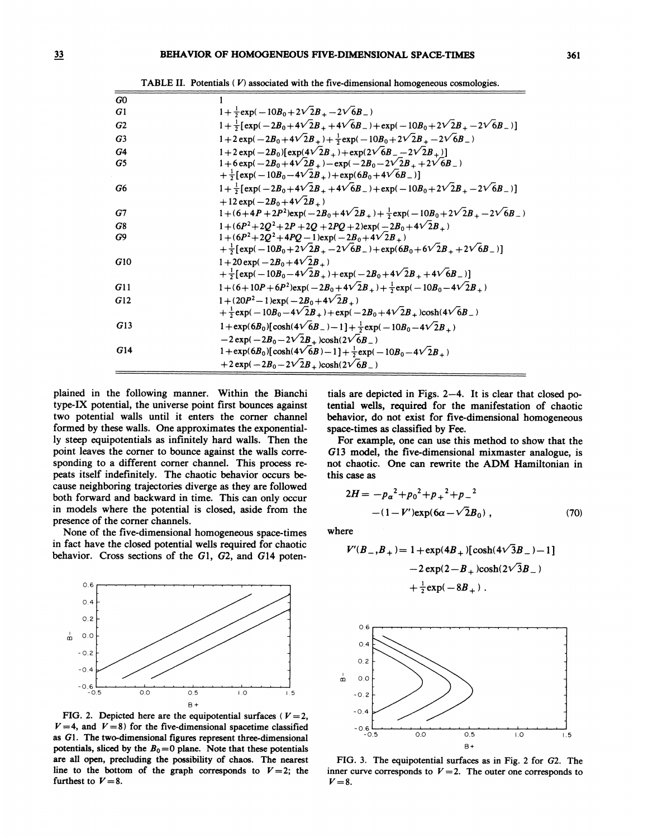| G <sub>0</sub> |                                                                                                                       |  |  |
|----------------|-----------------------------------------------------------------------------------------------------------------------|--|--|
| G1             | $1+\frac{1}{2}exp(-10B_0+2\sqrt{2}B_+-2\sqrt{6}B_-)$                                                                  |  |  |
| G2             | $1+\frac{1}{2}[\exp(-2B_0+4\sqrt{2}B_+ +4\sqrt{6}B_-)+\exp(-10B_0+2\sqrt{2}B_+ -2\sqrt{6}B_-)]$                       |  |  |
| G <sub>3</sub> | $1+2\exp(-2B_0+4\sqrt{2}B_+) + \frac{1}{2}\exp(-10B_0+2\sqrt{2}B_+-2\sqrt{6}B_-)$                                     |  |  |
| G4             | $1+2 \exp(-2B_0)[\exp(4\sqrt{2}B_+) + \exp(2\sqrt{6}B_- - 2\sqrt{2}B_+)]$                                             |  |  |
| G5             | $1+6 \exp(-2B_0+4\sqrt{2}B_+) - \exp(-2B_0-2\sqrt{2}B_+ +2\sqrt{6}B_-)$                                               |  |  |
|                | + $\frac{1}{2}$ [exp(-10B <sub>0</sub> -4 $\sqrt{2}B$ <sub>+</sub> )+exp(6B <sub>0</sub> +4 $\sqrt{6}B$ )]            |  |  |
| G6             | $1+\frac{1}{2}[\exp(-2B_0+4\sqrt{2}B_+ +4\sqrt{6}B_-)+\exp(-10B_0+2\sqrt{2}B_+ -2\sqrt{6}B_-)]$                       |  |  |
|                | $+12 \exp(-2B_0+4\sqrt{2}B_+)$                                                                                        |  |  |
| G7             | $1 + (6+4P+2P^2) \exp(-2B_0+4\sqrt{2}B_+) + \frac{1}{2} \exp(-10B_0+2\sqrt{2}B_+ - 2\sqrt{6}B_-)$                     |  |  |
| G8             | $1 + (6P^2 + 2Q^2 + 2P + 2Q + 2PQ + 2)exp(-2B_0 + 4\sqrt{2}B_+)$                                                      |  |  |
| G9             | $1+(6P^2+2Q^2+4PQ-1)\exp(-2B_0+4\sqrt{2}B_+)$                                                                         |  |  |
|                | $+\frac{1}{2}[\exp(-10B_0+2\sqrt{2}B_+-2\sqrt{6}B_-)+\exp(6B_0+6\sqrt{2}B_++2\sqrt{6}B_-)]$                           |  |  |
| G10            | $1+20 \exp(-2B_0+4\sqrt{2}B_+)$                                                                                       |  |  |
|                | $+\frac{1}{2}[\exp(-10B_0-4\sqrt{2}B_+) + \exp(-2B_0+4\sqrt{2}B_+ + 4\sqrt{6}B_-)]$                                   |  |  |
| G11            | $1 + (6 + 10P + 6P^2) \exp(-2B_0 + 4\sqrt{2}B_+) + \frac{1}{2} \exp(-10B_0 - 4\sqrt{2}B_+)$                           |  |  |
| G12            | $1 + (20P^2 - 1)\exp(-2B_0 + 4\sqrt{2}B_+)$                                                                           |  |  |
|                | $+\frac{1}{2}$ exp(-10B <sub>0</sub> -4 $\sqrt{2}B_+$ )+exp(-2B <sub>0</sub> +4 $\sqrt{2}B_+$ )cosh(4 $\sqrt{6}B_-$ ) |  |  |
| G13            | $1 + \exp(6B_0)[\cosh(4\sqrt{6}B_{-})-1] + \frac{1}{2}\exp(-10B_0 - 4\sqrt{2}B_{+})$                                  |  |  |
|                | $-2 \exp(-2B_0 - 2\sqrt{2}B_+) \cosh(2\sqrt{6}B_-)$                                                                   |  |  |
| G14            | $1+\exp(6B_0)[\cosh(4\sqrt{6}B)-1]+\frac{1}{2}\exp(-10B_0-4\sqrt{2}B_+)$                                              |  |  |
|                | +2 exp(-2 $B_0 - 2\sqrt{2}B_+$ )cosh(2 $\sqrt{6}B_-$ )                                                                |  |  |

TABLE II. Potentials  $(V)$  associated with the five-dimensional homogeneous cosmologies.

plained in the following manner. Within the Bianchi type-IX potential, the universe point first bounces against two potential walls until it enters the corner channel formed by these walls. One approximates the exponentially steep equipotentials as infinitely hard walls. Then the point leaves the corner to bounce against the walls corresponding to a different corner channel. This process repeats itself indefinitely. The chaotic behavior occurs because neighboring trajectories diverge as they are followed both forward and backward in time. This can only occur in models where the potential is closed, aside from the presence of the corner channels.

None of the five-dimensional homogeneous space-times in fact have the closed potential wells required for chaotic behavior. Cross sections of the Gl, G2, and G14 poten-



FIG. 2. Depicted here are the equipotential surfaces ( $V=2$ ,  $V=4$ , and  $V=8$ ) for the five-dimensional spacetime classified as 61. The two-dimensional figures represent three-dimensional potentials, sliced by the  $B_0 = 0$  plane. Note that these potentials are all open, precluding the possibility of chaos. The nearest line to the bottom of the graph corresponds to  $V=2$ ; the furthest to  $V=8$ .

tials are depicted in Figs. <sup>2</sup>—4. It is clear that closed potential wells, required for the manifestation of chaotic behavior, do not exist for five-dimensional homogeneous space-times as classified by Fee.

For example, one can use this method to show that the G13 model, the five-dimensional mixmaster analogue, is not chaotic. One can rewrite the ADM Hamiltonian in this case as

$$
2H = -p_{\alpha}^{2} + p_{0}^{2} + p_{+}^{2} + p_{-}^{2}
$$

$$
-(1 - V')\exp(6\alpha - \sqrt{2}B_{0}), \qquad (70)
$$

where

$$
V'(B_-,B_+) = 1 + \exp(4B_+) [\cosh(4\sqrt{3}B_-) - 1]
$$
  
- 2 \exp(2 - B\_+) \cosh(2\sqrt{3}B\_-)  
+  $\frac{1}{2}$  \exp(-8B\_+) .



FIG. 3. The equipotential surfaces as in Fig. 2 for 62. The inner curve corresponds to  $V = 2$ . The outer one corresponds to  $V=8$ .